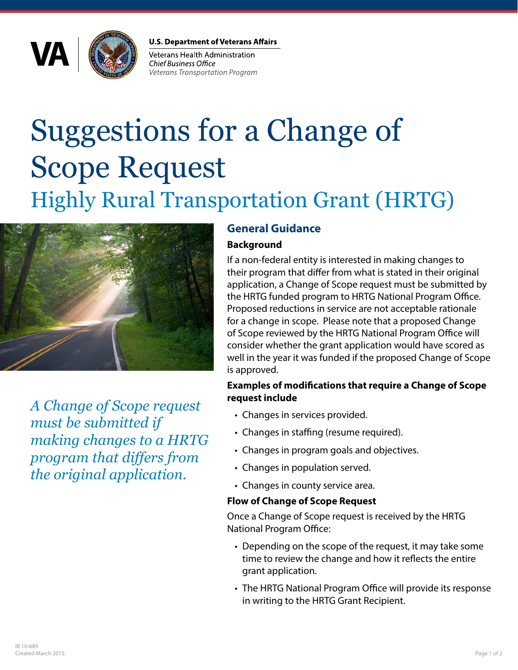

**U.S. Department of Veterans Affairs** 

Veterans Health Administration **Chief Business Office Veterans Transportation Program** 

# Suggestions for a Change of Scope Request Highly Rural Transportation Grant (HRTG)



*A Change of Scope request must be submitted if making changes to a HRTG program that differs from the original application.*

# **General Guidance**

## **Background**

If a non-federal entity is interested in making changes to their program that differ from what is stated in their original application, a Change of Scope request must be submitted by the HRTG funded program to HRTG National Program Office. Proposed reductions in service are not acceptable rationale for a change in scope. Please note that a proposed Change of Scope reviewed by the HRTG National Program Office will consider whether the grant application would have scored as well in the year it was funded if the proposed Change of Scope is approved.

#### **Examples of modifications that require a Change of Scope request include**

- Changes in services provided.
- Changes in staffing (resume required).
- Changes in program goals and objectives.
- Changes in population served.
- Changes in county service area.

### **Flow of Change of Scope Request**

Once a Change of Scope request is received by the HRTG National Program Office:

- Depending on the scope of the request, it may take some time to review the change and how it reflects the entire grant application.
- The HRTG National Program Office will provide its response in writing to the HRTG Grant Recipient.